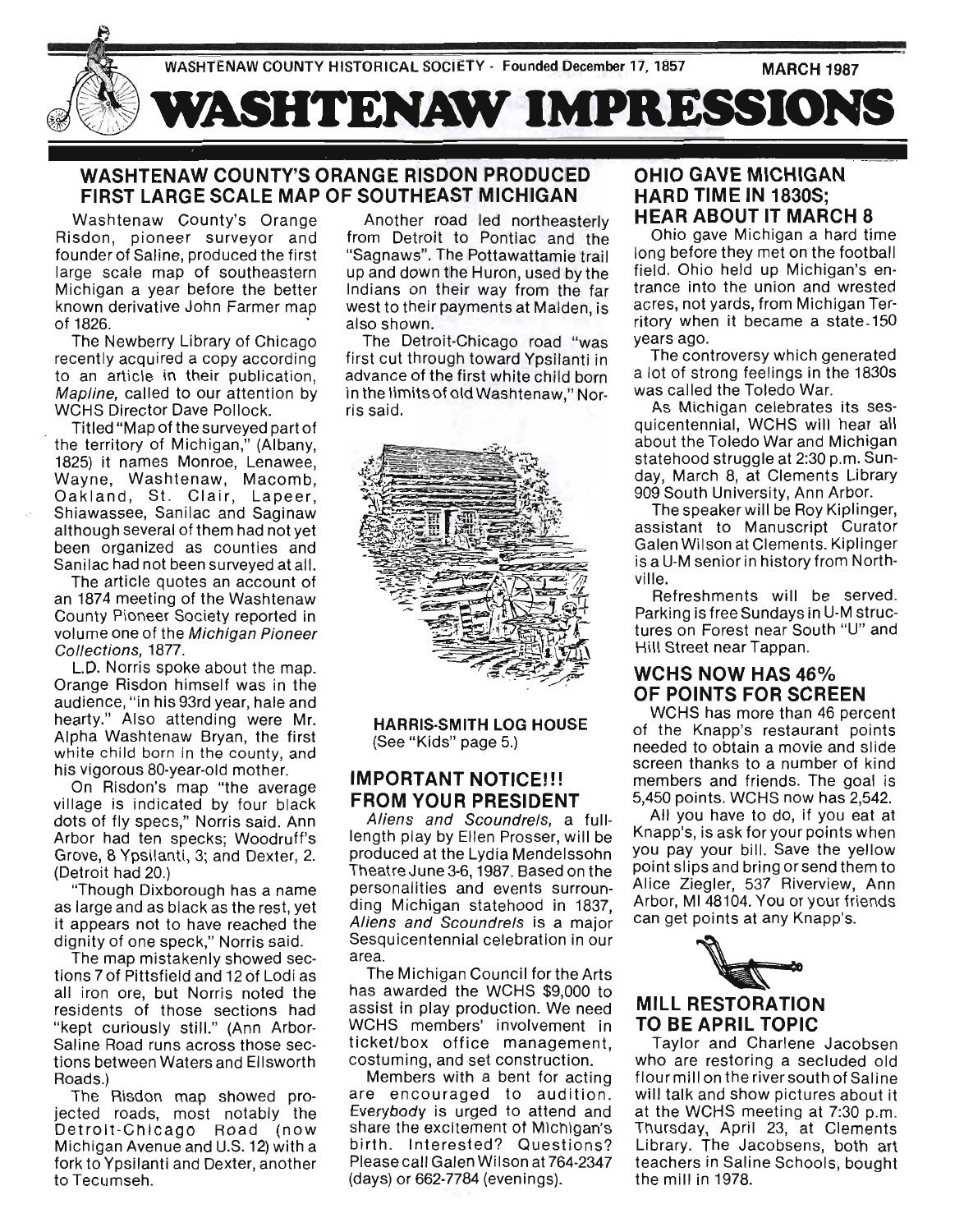

### WASHTENAW COUNTY'S ORANGE RISDON PRODUCED FIRST LARGE SCALE MAP OF SOUTHEAST MICHIGAN

Washtenaw County's Orange Risdon, pioneer surveyor and founder of Saline, produced the first large scale map of southeastern Michigan a year before the better known derivative John Farmer map of 1826. .

The Newberry Library of Chicago recently acquired a copy according to an article in their publication, Mapline, called to our attention by WCHS Director Dave Pollock.

Titled "Map of the surveyed part of the territory of Michigan," (Albany, 1825) it names Monroe, Lenawee, Wayne, Washtenaw, Macomb, Oakland, St. Clair, Lapeer, Shiawassee, Sanilac and Saginaw although several of them had not yet been organized as counties and Sanilac had not been surveyed at all.

The article quotes an account of an 1874 meeting of the Washtenaw County Pioneer Society reported in volume one of the Michigan Pioneer Collections, 1877.

L.D. Norris spoke about the map. Orange Risdon himself was in the audience, "in his 93rd year, hale and hearty." Also attending were Mr. Alpha Washtenaw Bryan, the first white child born in the county, and his vigorous 80-year-old mother.

On Risdon's map "the average village is indicated by four black dots of fly specs," Norris said. Ann Arbor had ten specks; Woodruff's Grove, 8 Ypsilanti, 3; and Dexter, 2. (Detroit had 20.)

"Though Dixborough has a name as large and as black as the rest, yet it appears not to have reached the dignity of one speck," Norris said.

The map mistakenly showed sections 7 of Pittsfield and 12 of Lodi as all iron ore, but Norris noted the residents of those sections had "kept curiously still." (Ann Arbor-Saline Road runs across those sections between Waters and Ellsworth Roads.)

The Risdon map showed projected roads, most notably the Detroit-Chicago Road (now Michigan Avenue and U.S. 12) with a fork to Ypsilanti and Dexter, another to Tecumseh.

Another road led northeasterly from Detroit to Pontiac and the "Sagnaws". The Pottawattamie trail up and down the Huron, used by the Indians on their way from the far west to their payments at Malden, is also shown.

The Detroit-Chicago road "was first cut through toward Ypsilanti in advance of the first white child born in the limits of old Washtenaw," Norris said.



HARRIS·SMITH LOG HOUSE (See "Kids" page 5.)

### IMPORTANT NOTICE!!! FROM YOUR PRESIDENT

Aliens and Scoundrels, a fulllength play by Ellen Prosser, will be produced at the Lydia Mendelssohn Theatre June 3-6, 1987. Based on the personalities and events surrounding Michigan statehood in 1837, Aliens and Scoundrels is a major Sesquicentennial celebration in our area.

The Michigan Council for the Arts has awarded the WCHS \$9,000 to assist in play production. We need WCHS members' involvement in ticketlbox office management, costuming, and set construction.

Members with a bent for acting are encouraged to audition. Everybody is urged to attend and share the excitement of Michigan'S birth. Interested? Questions? Please call Galen Wilson at 764-2347 (days) or 662-7784 (evenings).

# OHIO GAVE MICHIGAN HARD TIME IN 1830S; HEAR ABOUT IT MARCH 8

Ohio gave Michigan a hard time long before they met on the football field. Ohio held up Michigan's entrance into the union and wrested acres, not yards, from Michigan Ter- · ritory when it became a state . 150 years ago.

The controversy which generated a lot of strong feelings in the 1830s was called the Toledo War.

As Michigan celebrates its sesquicentennial, WCHS will hear all about the Toledo War and Michigan statehood struggle at 2:30 p.m. Sunday, March 8, at Clements Library 909 South University, Ann Arbor.

The speaker will be Roy Kiplinger, assistant to Manuscript Curator Galen Wilson at Clements. Kiplinger is a U-M senior in history from Northville.

Refreshments will be served. Parking is free Sundays in U-M structures on Forest near South "U" and Hill Street near Tappan.

# WCHS NOW HAS 46% OF POINTS FOR SCREEN

WCHS has more than 46 percent of the Knapp's restaurant points needed to obtain a movie and slide screen thanks to a number of kind members and friends. The goal is 5,450 points. WCHS now has 2,542.

All you have to do, if you eat at Knapp's, is ask for your points when you pay your bill. Save the yellow point slips and bring or send them to Alice Ziegler, 537 Riverview, Ann Arbor, MI 48104. You or your friends



#### MILL RESTORATION TO BE APRIL TOPIC

Taylor and Charlene Jacobsen who are restoring a secluded old flour mill on the river south of Saline will talk and show pictures about it at the WCHS meeting at 7:30 p.m. Thursday, April 23, at Clements Library. The Jacobsens, both art teachers in Saline Schools, bought the mill in 1978.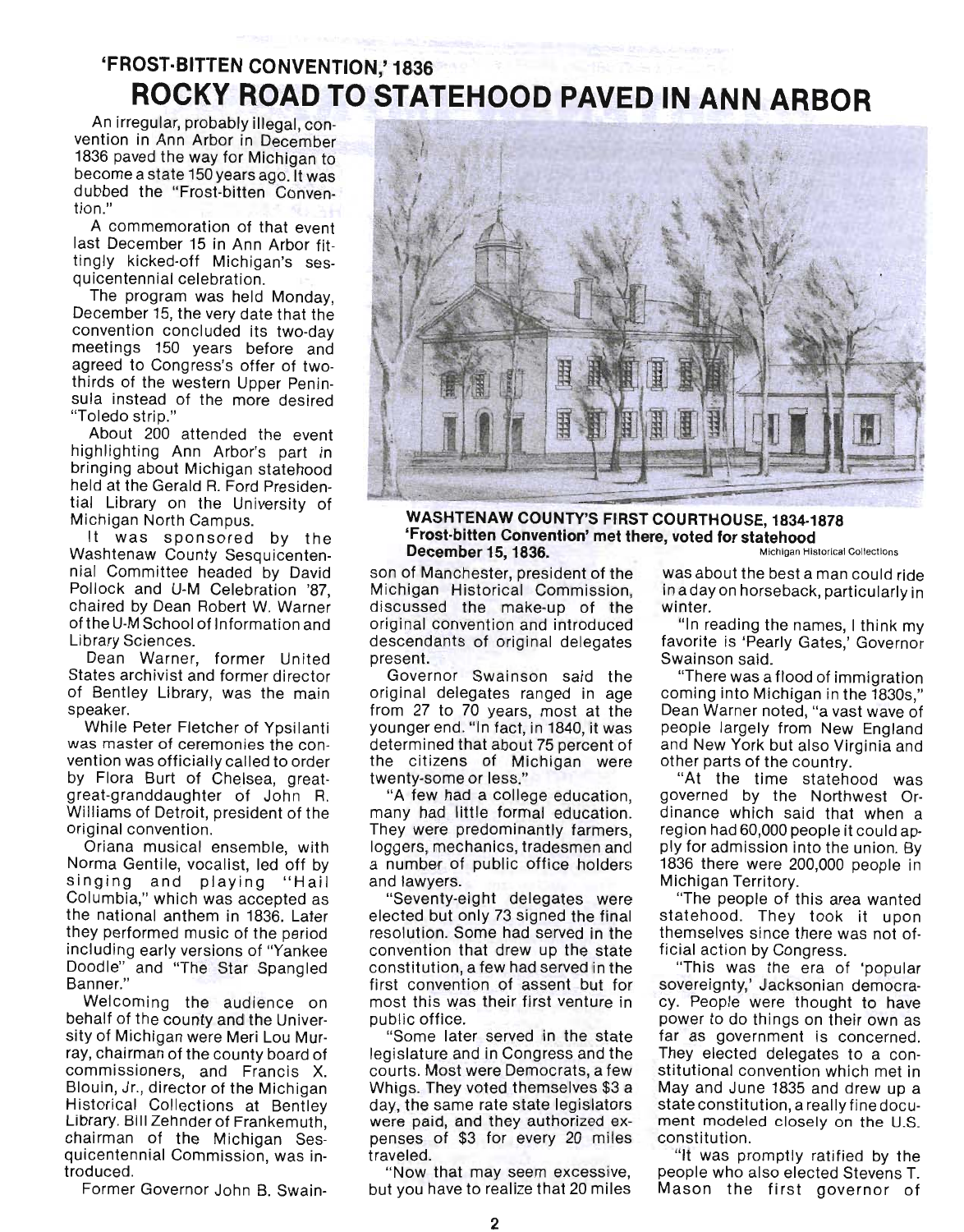# **'FROST·BITTEN CONVENTION,' 1836 ROCKY ROAD TO STATEHOOD PAVED IN ANN ARBOR**

An irregular, probably illegal, convention in Ann Arbor in December 1836 paved the way for Michigan to become a state 150 years ago. It was dubbed the "Frost-bitten Convention."

A commemoration of that event last December 15 in Ann Arbor fittingly kicked-off Michigan's sesquicentennial celebration.

The program was held Monday, December 15, the very date that the convention concluded its two-day meetings 150 years before and agreed to Congress's offer of twothirds of the western Upper Peninsula instead of the more desired "Toledo strip."

About 200 attended the event highlighting Ann Arbor's part in bringing about Michigan statehood held at the Gerald R. Ford Presidential Library on the University of Michigan North Campus.

It was sponsored by the Washtenaw County Sesquicentennial Committee headed by David Pollock and U-M Celebration '87, chaired by Dean Robert W. Warner of the U-M School of Information and Library Sciences.

Dean Warner, former United States archivist and former director of Bentley Library, was the main speaker.

While Peter Fletcher of Ypsilanti was master of ceremonies the convention was officially called to order by Flora Burt of Chelsea, greatgreat-granddaughter of John R. Williams of Detroit, president of the original convention.

Oriana musical ensemble, with Norma Gentile, vocalist, led off by singing and playing "Hail Columbia," which was accepted as the national anthem in 1836. Later they performed music of the period including early versions of "Yankee Doodle" and "The Star Spangled Banner."

Welcoming the audience on behalf of the county and the University of Michigan were Meri Lou Murray, chairman of the county board of commissioners, and Francis X. Blouin, Jr., director of the Michigan Historical Collections at Bentley Library. Bill Zehnder of Frankemuth, chairman of the Michigan Sesquicentennial Commission, was introduced.

Former Governor John B. Swain-



#### **WASHTENAW COUNTY'S FIRST COURTHOUSE, 1834-1878 'Frost-bitten Convention' met there, voted for statehood December 15, 1836.** Michigan Historical Collections

son of Manchester, president of the Michigan Historical Commission, discussed the make-up of the original convention and introduced descendants of original delegates present.

Governor Swainson said the original delegates ranged in age from 27 to 70 years, most at the younger end. "In fact, in 1840, it was determined that about 75 percent of the citizens of Michigan were twenty-some or less."

"A few had a college education, many had little formal education. They were predominantly farmers, loggers, mechanics, tradesmen and a number of public office holders and lawyers.

"Seventy-eight delegates were elected but only 73 signed the final resolution. Some had served in the convention that drew up the state constitution, a few had served in the first convention of assent but for most this was their first venture in public office.

"Some later served in the state legislature and in Congress and the courts. Most were Democrats, a few Whigs. They voted themselves \$3 a day, the same rate state legislators were paid, and they authorized expenses of \$3 for every 20 miles traveled.

"Now that may seem excessive, but you have to realize that 20 miles was about the best a man could ride in a day on horseback, particularly in winter.

"In reading the names, I think my favorite is 'Pearly Gates,' Governor Swainson said.

"There was a flood of immigration coming into Michigan in the 1830s," Dean Warner noted, "a vast wave of people largely from New England and New York but also Virginia and other parts of the country.

"At the time statehood was governed by the Northwest Ordinance which said that when a region had 60,000 people it could apply for admission into the union. By 1836 there were 200,000 people in Michigan Territory.

"The people of this area wanted statehood. They took it upon themselves since there was not official action by Congress.

"This was the era of 'popular sovereignty,' Jacksonian democracy. People were thought to have power to do things on their own as far as government is concerned. They elected delegates to a constitutional convention which met in May and June 1835 and drew up a state constitution, a really fine document modeled closely on the U.S. constitution.

"It was promptly ratified by the people who also elected Stevens T. Mason the first governor of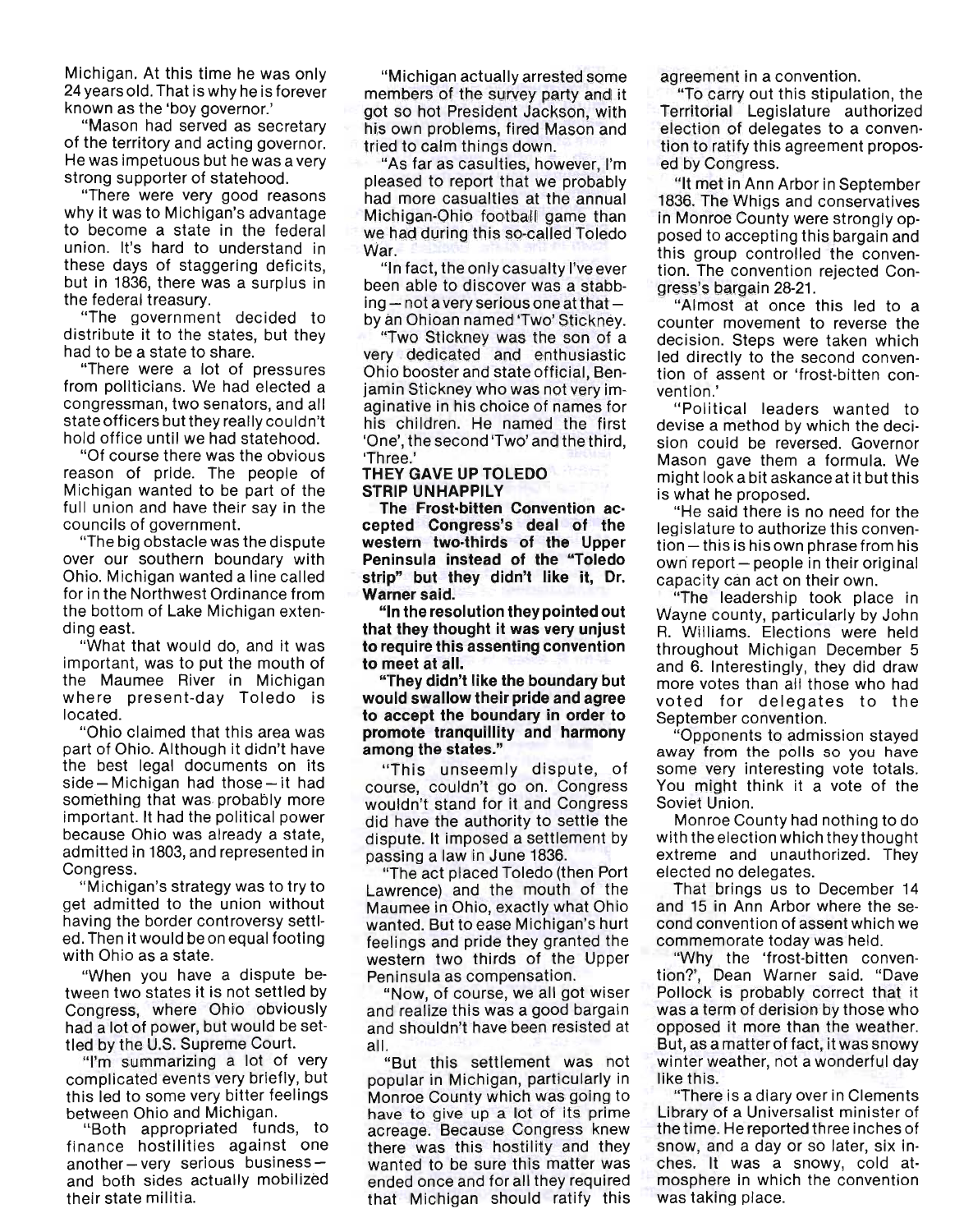Michigan. At this time he was only 24 years old. That is why he is forever known as the 'boy governor.'

"Mason had served as secretary of the territory and acting governor. He was impetuous but he was a very strong supporter of statehood.

"There were very good reasons why it was to Michigan's advantage to become a state in the federal union. It's hard to understand in these days of staggering deficits, but in 1836, there was a surplus in the federal treasury.

"The government decided to distribute it to the states, but they had to be a state to share.

"There were a lot of pressures from politicians. We had elected a congressman, two senators, and all state officers but they really couldn't hold office until we had statehood.

"Of course there was the obvious reason of pride. The people of Michigan wanted to be part of the full union and have their say in the councils of government.

"The big obstacle was the dispute over our southern boundary with Ohio. Michigan wanted a line called for in the Northwest Ordinance from the bottom of Lake Michigan extending east.

"What that would do, and it was important, was to put the mouth of the Maumee River in Michigan where present-day Toledo is located.

"Ohio claimed that this area was part of Ohio. Although it didn't have the best legal documents on its  $side$  - Michigan had those - it had something that was. probably more important. It had the pOlitical power because Ohio was already a state, admitted in 1803, and represented in Congress.

"Michigan's strategy was to try to get admitted to the union without having the border controversy settled. Then it would be on equal footing with Ohio as a state.

"When you have a dispute between two states it is not settled by Congress, where Ohio obviously had a lot of power, but would be settled by the U.S. Supreme Court.

"I'm summarizing a lot of very complicated events very briefly, but this led to some very bitter feelings

between Ohio and Michigan. '"Both appropriated funds, to finance hostilities against one  $another - very$  serious businessand bofh sides actually mobilized their state militia.

"Michigan actually arrested some members of the survey party and it got so hot President Jackson, with his own problems, fired Mason and tried to calm things down.

"As far as casulties, however, I'm pleased to report that we probably had more casualties at the annual Michigan-Ohio football game than we had during this so-called Toledo War.

"In fact, the only casualty I've ever been able to discover was a stabb·  $ing$  – not a very serious one at that – by an Ohioan named 'Two' Stickney.

"Two Stickney was the son of a very dedicated and enthusiastic Ohio booster and state official, Benjamin Stickney who was not very imaginative in his choice of names for his children. He named the first 'One', the second 'Two' and the third, 'Three.'

#### THEY GAVE UP TOLEDO STRIP UNHAPPILY

The Frost·bitten Convention ac· cepted Congress's deal of the western two·thirds of the Upper Peninsula instead of the "Toledo strip" but they didn't like it, Dr. Warner said.

"In the resolution they pointed out that they thought it was very unjust to require this assenting convention to meet at all.

"They didn't like the boundary but would swallow their pride and agree to accept the boundary in order to promote tranquillity and harmony among the states."

"This unseemly dispute, of course, couldn't go on. Congress wouldn't stand for it and Congress did have the authority to settle the dispute. It imposed a settlement by passing a law in June 1836.

"The act placed Toledo (then Port Lawrence) and the mouth of the Maumee in Ohio, exactly what Ohio wanted. But to ease Michigan's hurt feelings and pride they granted the western two thirds of the Upper Peninsula as compensation.

"Now, of course, we all got wiser and realize this was a good bargain and shouldn't have been resisted at all.

"But this settlement was not popular in Michigan, particularly in Monroe County which was going to have to give up a lot of its prime acreage. Because Congress knew there was this hostility and they wanted to be sure this matter was ended once and for all they required that Michigan should ratify this agreement in a convention.

"To carry out this stipulation, the Territorial Legislature authorized election of delegates to a convention to ratify this agreement proposed by Congress.

"It met in Ann Arbor in September 1836. The Whigs and conservatives in Monroe County were strongly opposed to accepting this bargain and this group controlled the conven· tion. The convention rejected Congress's bargain 28-21.

"Almost at once this led to a counter movement to reverse the decision. Steps were taken which led directly to the second convention of assent or 'frost-bitten convention.'

"Political leaders wanted to devise a method by which the decision could be reversed. Governor Mason gave them a formula. We might look a bit askance at it but this is what he proposed.

"He said there is no need for the legislature to authorize this conven $tion - this$  is his own phrase from his own report - people in their original capacity can act on their own.

"The leadership took place in Wayne county, particularly by John R. Williams. Elections were held throughout Michigan December 5 and 6. Interestingly, they did draw more votes than all those who had voted for delegates to the September convention.

"Opponents to admission stayed away from the polls so you have some very interesting vote totals. You might think it a vote of the Soviet Union.

Monroe County had nothing to do with the election which they thought extreme and unauthorized. They elected no delegates.

That brings us to December 14 and 15 in Ann Arbor where the second convention of assent which we commemorate today was held.

"Why the 'frost-bitten convention?', Dean Warner said. "Dave Pollock is probably correct that it was a term of derision by those who opposed it more than the weather. But, as a matter of fact, it was snowy winter weather, not a wonderful day like this.

"There is a diary over in Clements Library of a Universalist minister of the time. He reported three inches of snow, and a day or so later, six inches. It was a snowy, cold atmosphere in which the convention was taking place.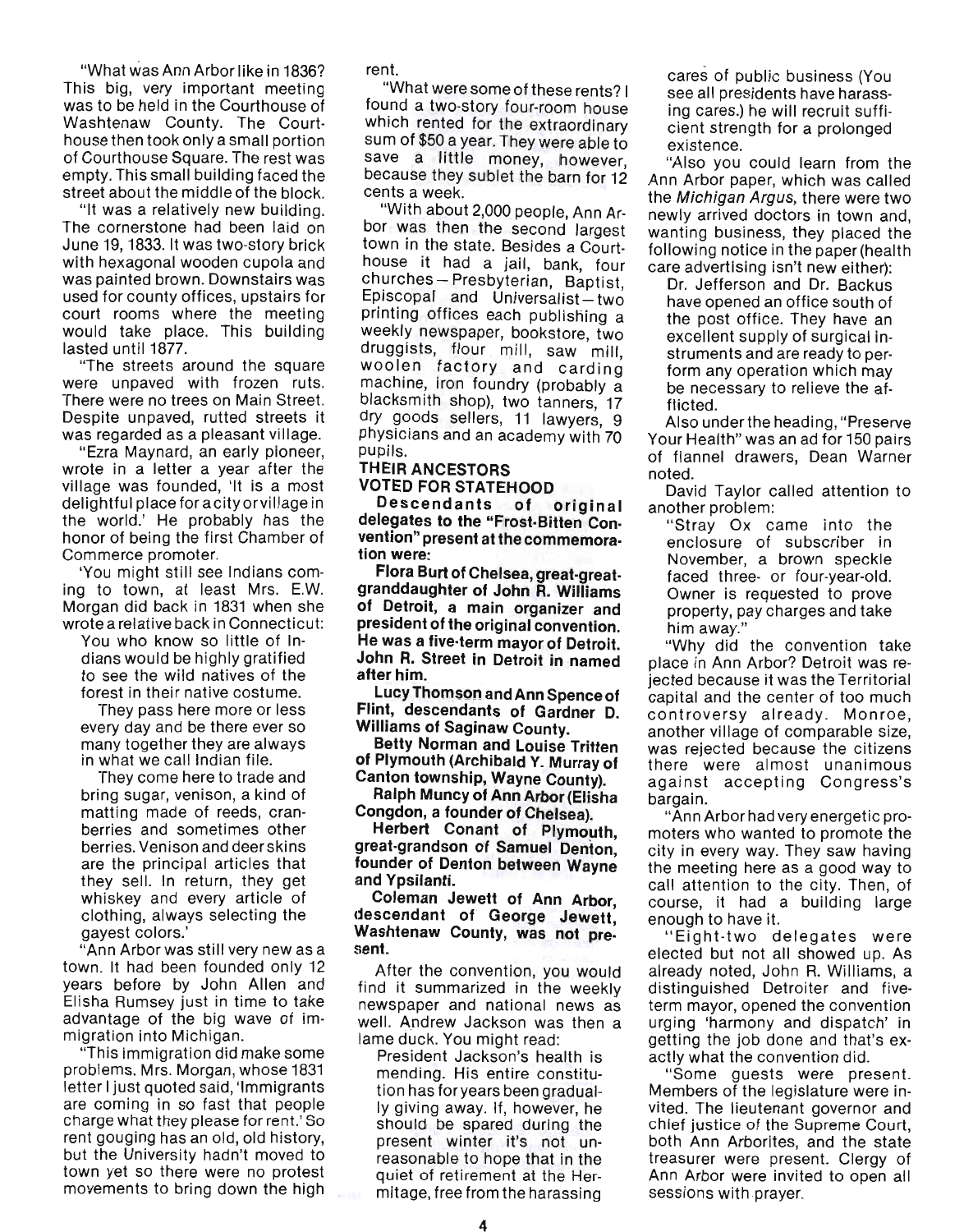"What was Ann Arbor like in 1836? This big, very important meeting was to be held in the Courthouse of Washtenaw County. The Courthouse then took only a small portion of Courthouse Square. The rest was empty. This small building faced the street about the middle of the block.

"It was a relatively new building. The cornerstone had been laid on June 19, 1833. It was two-story brick with hexagonal wooden cupola and was painted brown. Downstairs was used for county offices, upstairs for court rooms where the meeting would take place. This building lasted until 1877.

"The streets around the square were unpaved with frozen ruts. There were no trees on Main Street. Despite unpaved, rutted streets it was regarded as a pleasant village.

"Ezra Maynard, an early pioneer, wrote in a letter a year after the village was founded, 'It is a most delightful place for a city orvillage in the world.' He probably has the honor of being the first Chamber of Commerce promoter.

'You might still see Indians coming to town, at least Mrs. E.W. Morgan did back in 1831 when she wrote a relative back in Connecticut:

You who know so little of Indians would be highly gratified to see the wild natives of the forest in their native costume.

They pass here more or less every day and be there ever so many together they are always in what we call Indian file.

They come here to trade and bring sugar, venison, a kind of matting made of reeds, cranberries and sometimes other berries. Venison and deer skins are the principal articles that they sell. In return, they get whiskey and every article of clothing, always selecting the gayest colors.'

"Ann Arbor was still very new as a town. It had been founded only 12 years before by John Allen and Elisha Rumsey just in time to take advantage of the big wave of immigration into Michigan.

"This immigration did make some problems. Mrs. Morgan, whose 1831 letter I just quoted said, 'Immigrants are coming in so fast that people charge what they please for rent.' So rent gouging has an old, old history, but the University hadn't moved to town yet so there were no protest movements to bring down the high rent.

"What were some of these rents? I found a two-story four-room house which rented for the extraordinary sum of \$50 a year. They were able to save a little money, however, because they sublet the barn for 12 cents a week.

"With about 2,000 people, Ann Arbor was then the second largest town in the state. Besides a Courthouse it had a jail, bank, four churches - Presbyterian, Baptist.  $Epsilon - two$ printing offices each publishing a weekly newspaper, bookstore, two druggists, flour mill, saw mill, woolen factory and carding machine, iron foundry (probably a blacksmith shop), two tanners, 17 dry goods sellers, 11 lawyers, 9 physicians and an academy with 70 pupils.

#### THEIR ANCESTORS VOTED FOR STATEHOOD

Descendants of original delegates to the "Frost· Bitten Con. vention" present at the commemora. tion were:

Flora Burt of Chelsea, great·great. granddaughter of John R. Williams of Detroit, a main organizer and president of the original convention. He was a five·term mayor of Detroit. John R. Street in Detroit in named after him.

Lucy Thomson and Ann Spence of . Flint, descendants of Gardner D. Williams of Saginaw County.

Betty Norman and Louise Tritten of Plymouth (Archibald Y. Murray of Canton township, Wayne County).

Ralph Muncy of Ann Arbor (Elisha Congdon, a founder of Chelsea).

Herbert Conant of Plymouth, great·grandson of Samuel Denton, founder of Denton between Wayne and Ypsilanti.

Coleman Jewett of Ann Arbor, descendant of George Jewett, Washtenaw County, was not pre· sent.

After the convention, you would find it summarized in the weekly newspaper and national news as well. Andrew Jackson was then a lame duck. You might read:

President Jackson's health is mending. His entire constitution has for years been gradually giving away. If, however, he should be spared during the present winter it's not un· reasonable to hope that in the quiet of retirement at the Hermitage, free from the harassing cares of public business (You see all presidents have harassing cares.) he will recruit suffi· cient strength for a prolonged existence.

"Also you could learn from the Ann Arbor paper, which was called the Michigan Argus, there were two newly arrived doctors in town and, wanting business, they placed the following notice in the paper (health care advertising isn't new either):

Dr. Jefferson and Dr. Backus have opened an office south of the post office. They have an excellent supply of surgical instruments and are ready to perform any operation which may be necessary to relieve the afflicted.

Also under the heading, "Preserve Your Health" was an ad for 150 pairs of flannel drawers, Dean Warner noted.

David Taylor called attention to another problem:

"Stray Ox came into the enclosure of subscriber in November, a brown speckle faced three- or four-year-old. Owner is requested to prove property, pay charges and take him away."

"Why did the convention take place in Ann Arbor? Detroit was rejected because it was the Territorial capital and the center of too much controversy already. Monroe, another village of comparable size, was rejected because the citizens there were almost unanimous against accepting Congress's bargain.

"Ann Arbor had very energetic promoters who wanted to promote the city in every way. They saw having the meeting here as a good way to call attention to the city. Then, of course, it had a building large enough to have it.

" Eight-two delegates were elected but not all showed up. As already noted, John R. Williams, a distinguished Detroiter and fiveterm mayor, opened the convention urging 'harmony and dispatch' in getting the job done and that's exactly what the convention did.

"Some guests were present. Members of the legislature were invited. The lieutenant governor and chief justice of the Supreme Court, both Ann Arborites, and the state treasurer were present. Clergy of Ann Arbor were invited to open all sessions with prayer.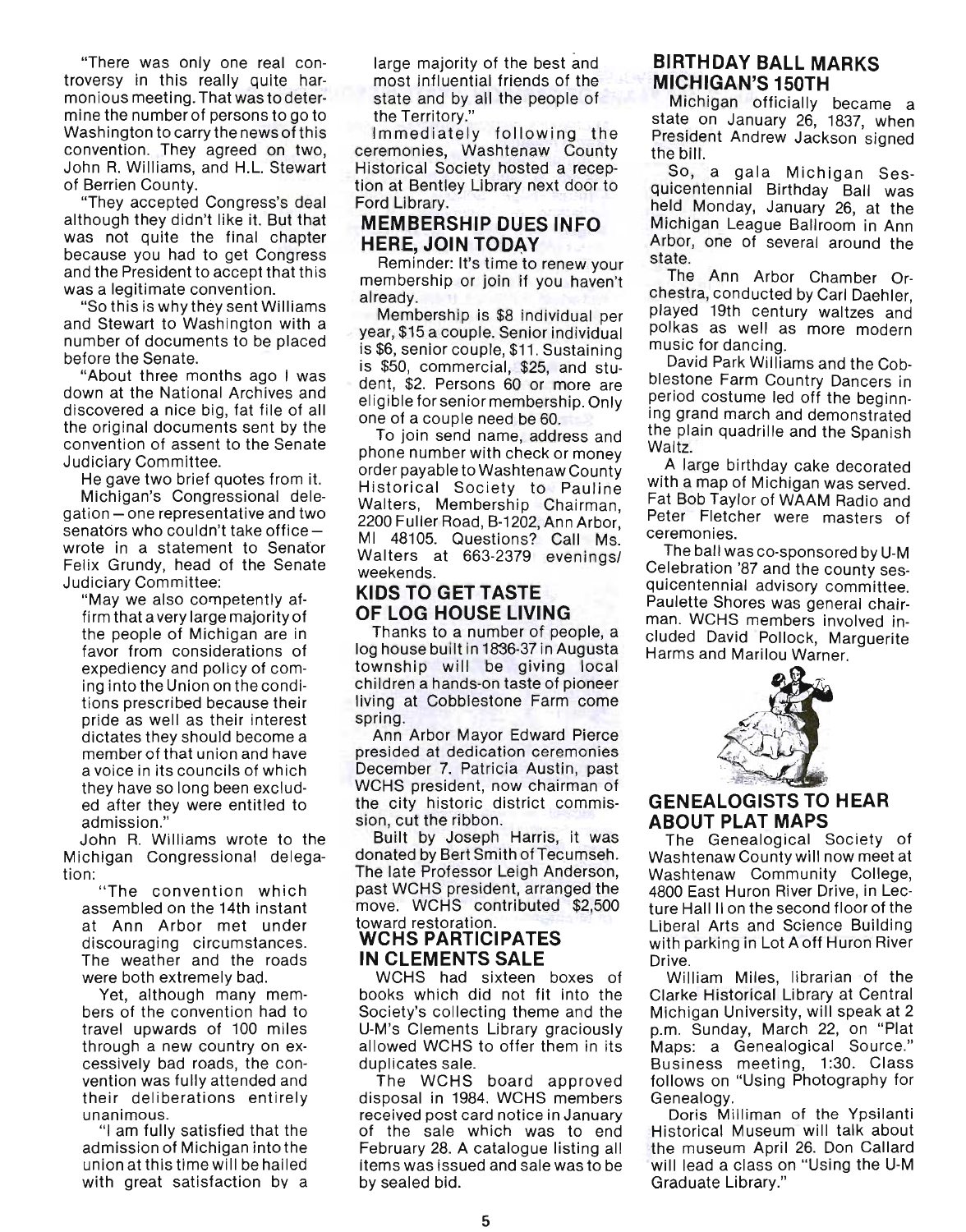"There was only one real controversy in this really quite harmonious meeting. That was to determine the number of persons to go to Washington to carry the news of this convention. They agreed on two, John R. Williams, and H.L. Stewart of Berrien County.

"They accepted Congress's deal although they didn't like it. But that was not quite the final chapter because you had to get Congress and the President to accept that this was a legitimate convention.

"So this is why they sent Williams and Stewart to Washington with a number of documents to be placed before the Senate.

"About three months ago I was down at the National Archives and discovered a nice big, fat file of all the original documents sent by the convention of assent to the Senate Judiciary Committee.

He gave two brief quotes from it.

Michigan's Congressional delegation - one representative and two senators who couldn't take office wrote in a statement to Senator Felix Grundy, head of the Senate Judiciary Committee:

"May we also competently affirm that a very large majority of the people of Michigan are in favor from considerations of expediency and policy of coming into the Union on the conditions prescribed because their pride as well as their interest dictates they should become a member of that union and have a voice in its councils of which they have so long been excluded after they were entitled to admission."

John R. Williams wrote to the Michigan Congressional delegation:

" The convention which assembled on the 14th instant at Ann Arbor met under discouraging circumstances. The weather and the roads were both extremely bad.

Yet, although many members of the convention had to travel upwards of 100 miles through a new country on excessively bad roads, the convention was fully attended and their deliberations entirely unanimous. "I am fully satisfied that the

admission of Michigan into the union at this time will be hailed with great satisfaction by a large majority of the best and most influential friends of the state and by all the people of the Territory."

Immediately following the ceremonies, Washtenaw County Historical Society hosted a recep tion at Bentley Library next door to Ford Library.

# **MEMBERSHIP DUES INFO HERE, JOIN TODAY**

Reminder: It's time to renew your membership or join if you haven't already.

Membership is \$8 individual per year, \$15 a couple. Senior individual is \$6, senior couple, \$11. Sustaining is \$50, commercial, \$25, and student, \$2. Persons 60 or more are eligible for senior membership. Only one of a couple need be 60.

To join send name, address and phone number with check or money order payable to Washtenaw County Historical Society to Pauline Walters, Membership Chairman, 2200 Fuller Road, B-1202, Ann Arbor, MI 48105. Questions? Call Ms. Walters at 663-2379 evenings/ weekends.

# **KIDS TO GET TASTE OF LOG HOUSE LIVING**

Thanks to a number of people, a log house built in 1836-37 in Augusta township will be giving local children a hands-on taste of pioneer living at Cobblestone Farm come spring.

Ann Arbor Mayor Edward Pierce presided at dedication ceremonies December 7. Patricia Austin, past WCHS president, now chairman of the city historic district commission, cut the ribbon.

Built by Joseph Harris, it was donated by Bert Smith of Tecumseh. The late Professor Leigh Anderson, past WCHS president, arranged the move. WCHS contributed \$2,500 toward restoration.

# **WCHS PARTICIPATES IN CLEMENTS SALE**

WCHS had sixteen boxes of books which did not fit into the Society's collecting theme and the U-M's Clements Library graciously allowed WCHS to offer them in its duplicates sale.

The WCHS board approved disposal in 1984. WCHS members received post card notice in January of the sale which was to end February 28. A catalogue listing all items was issued and sale was to be by sealed bid.

# **BIRTHDAY BALL MARKS MICHIGAN'S 150TH**

Michigan officially became a state on January 26, 1837, when President Andrew Jackson Signed the bill.

So, a gala Michigan Sesquicentennial Birthday Ball was held Monday, January 26, at the Michigan League Ballroom in Ann Arbor, one of several around the state.

The Ann Arbor Chamber Orchestra, conducted by Carl Daehler, played 19th century waltzes and polkas as well as more modern music for dancing.

David Park Williams and the Cobblestone Farm Country Dancers in period costume led off the beginning grand march and demonstrated the plain quadrille and the Spanish Waltz.

A large birthday cake decorated with a map of Michigan was served. Fat Bob Taylor of WAAM Radio and Peter Fletcher were masters of ceremonies.

The ball was co-sponsored by U-M Celebration '87 and the county sesquicentennial advisory committee. Paulette Shores was general chairman. WCHS members involved included David Pollock, Marguerite Harms and Marilou Warner.



#### **GENEALOGISTS TO HEAR ABOUT PLAT MAPS**

The Genealogical Society of Washtenaw County will now meet at Washtenaw Community College, 4800 East Huron River Drive, in Lecture Hall II on the second floor of the Liberal Arts and Science Building with parking in Lot A off Huron River Drive.

William Miles, librarian of the Clarke Historical Library at Central Michigan University, will speak at 2 p.m. Sunday, March 22, on "Plat Maps: a Genealogical Source." Business meeting, 1:30. Class follows on "Using Photography for Genealogy.

Doris Milliman of the Ypsilanti Historical Museum will talk about the museum April 26. Don Callard will lead a class on "Using the U-M Graduate Library."